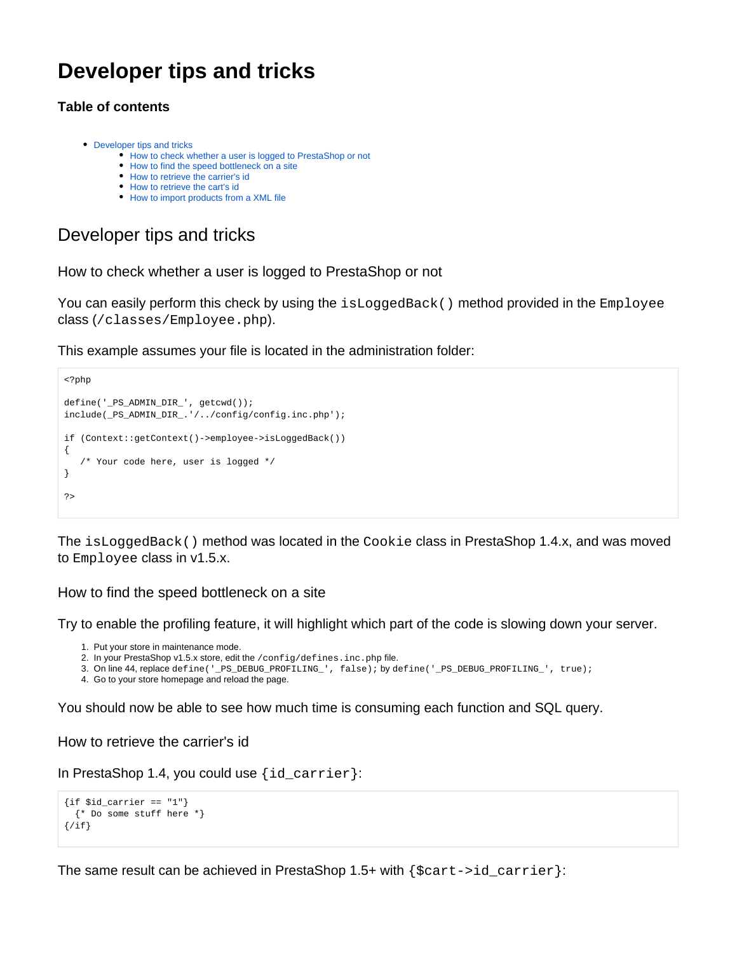# **Developer tips and tricks**

# **Table of contents**

- [Developer tips and tricks](#page-0-0)
	- [How to check whether a user is logged to PrestaShop or not](#page-0-1)
	- [How to find the speed bottleneck on a site](#page-0-2)
	- [How to retrieve the carrier's id](#page-0-3)
	- [How to retrieve the cart's id](#page-1-0)
	- [How to import products from a XML file](#page-1-1)

# <span id="page-0-0"></span>Developer tips and tricks

<span id="page-0-1"></span>How to check whether a user is logged to PrestaShop or not

You can easily perform this check by using the isLoggedBack() method provided in the Employee class (/classes/Employee.php).

This example assumes your file is located in the administration folder:

```
<?php
define('_PS_ADMIN_DIR_', getcwd());
include(_PS_ADMIN_DIR_.'/../config/config.inc.php');
if (Context::getContext()->employee->isLoggedBack())
{
    /* Your code here, user is logged */
}
?>
```
The isLoggedBack() method was located in the Cookie class in PrestaShop 1.4.x, and was moved to Employee class in v1.5.x.

# <span id="page-0-2"></span>How to find the speed bottleneck on a site

Try to enable the profiling feature, it will highlight which part of the code is slowing down your server.

- 1. Put your store in maintenance mode.
- 2. In your PrestaShop v1.5.x store, edit the /config/defines.inc.php file.
- 3. On line 44, replace define('\_PS\_DEBUG\_PROFILING\_', false); by define('\_PS\_DEBUG\_PROFILING\_', true);
- 4. Go to your store homepage and reload the page.

You should now be able to see how much time is consuming each function and SQL query.

# <span id="page-0-3"></span>How to retrieve the carrier's id

In PrestaShop 1.4, you could use {id\_carrier}:

```
\{if $id\_carrier == "1"\} {* Do some stuff here *}
\{/if\}
```
The same result can be achieved in PrestaShop 1.5+ with  $\{\text{search} = \text{index}\}$ :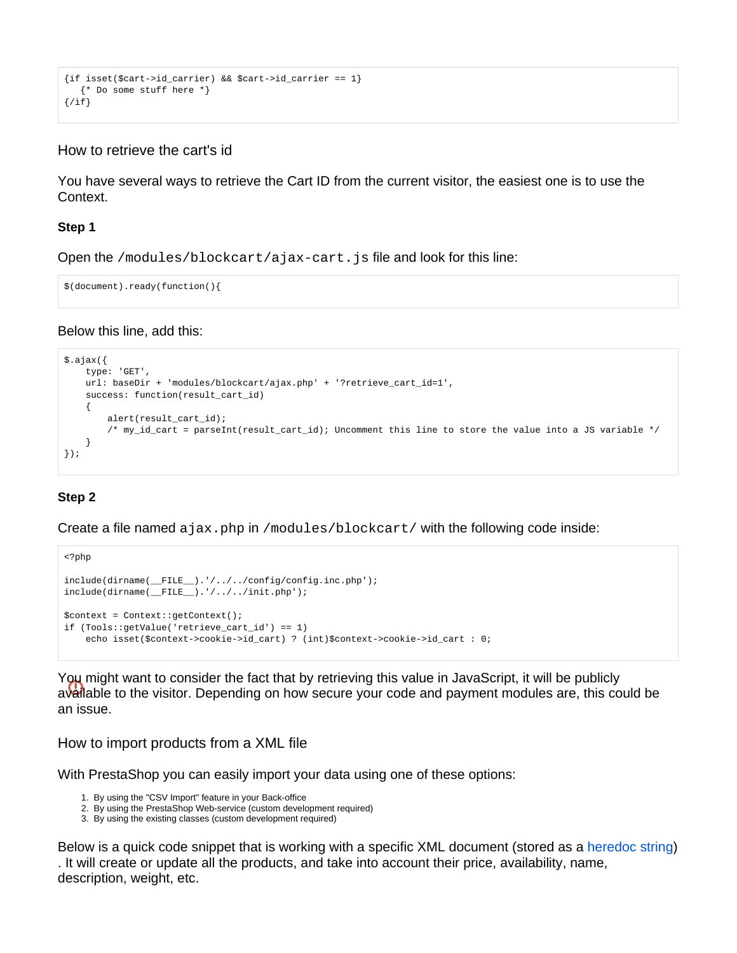```
{if isset($cart->id_carrier) && $cart->id_carrier == 1}
   {* Do some stuff here *}
\{/if\}
```
# <span id="page-1-0"></span>How to retrieve the cart's id

You have several ways to retrieve the Cart ID from the current visitor, the easiest one is to use the Context.

#### **Step 1**

Open the /modules/blockcart/ajax-cart.js file and look for this line:

```
$(document).ready(function(){
```
#### Below this line, add this:

```
$.ajax({
    type: 'GET',
    url: baseDir + 'modules/blockcart/ajax.php' + '?retrieve_cart_id=1',
    success: function(result_cart_id)
     {
         alert(result_cart_id);
         /* my_id_cart = parseInt(result_cart_id); Uncomment this line to store the value into a JS variable */
     }
});
```
# **Step 2**

Create a file named ajax.php in /modules/blockcart/ with the following code inside:

```
<?php
include(dirname(__FILE__).'/../../config/config.inc.php');
include(dirname(__FILE__).'/../../init.php');
$context = Context::getContext();
if (Tools::getValue('retrieve_cart_id') == 1)
    echo isset($context->cookie->id_cart) ? (int)$context->cookie->id_cart : 0;
```
You might want to consider the fact that by retrieving this value in JavaScript, it will be publicly available to the visitor. Depending on how secure your code and payment modules are, this could be an issue.

#### <span id="page-1-1"></span>How to import products from a XML file

With PrestaShop you can easily import your data using one of these options:

- 1. By using the "CSV Import" feature in your Back-office
- 2. By using the PrestaShop Web-service (custom development required)
- 3. By using the existing classes (custom development required)

Below is a quick code snippet that is working with a specific XML document (stored as a [heredoc string\)](http://www.php.net/manual/en/language.types.string.php#language.types.string.syntax.heredoc) . It will create or update all the products, and take into account their price, availability, name, description, weight, etc.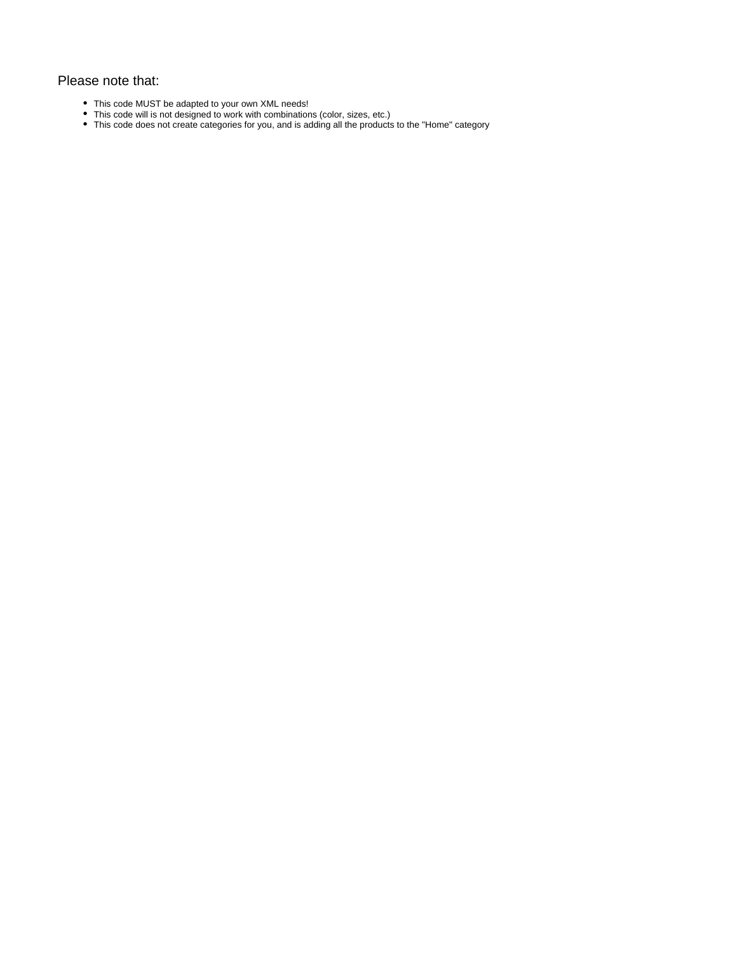#### Please note that:

- This code MUST be adapted to your own XML needs!
- This code will is not designed to work with combinations (color, sizes, etc.)
- This code does not create categories for you, and is adding all the products to the "Home" category